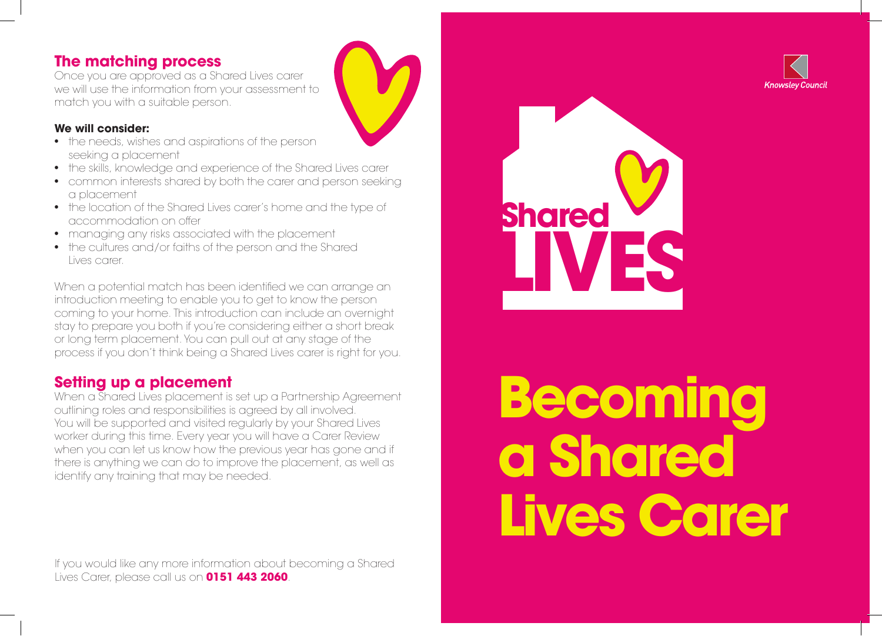# **The matching process**

Once you are approved as a Shared Lives carer we will use the information from your assessment to match you with a suitable person.

### **We will consider:**

- the needs, wishes and aspirations of the person seeking a placement
- the skills, knowledge and experience of the Shared Lives carer
- common interests shared by both the carer and person seeking a placement
- the location of the Shared Lives carer's home and the type of accommodation on offer
- managing any risks associated with the placement
- the cultures and/or faiths of the person and the Shared Lives carer.

When a potential match has been identified we can arrange an introduction meeting to enable you to get to know the person coming to your home. This introduction can include an overnight stay to prepare you both if you're considering either a short break or long term placement. You can pull out at any stage of the process if you don't think being a Shared Lives carer is right for you.

# **Setting up a placement**

When a Shared Lives placement is set up a Partnership Agreement outlining roles and responsibilities is agreed by all involved. You will be supported and visited regularly by your Shared Lives worker during this time. Every year you will have a Carer Review when you can let us know how the previous year has gone and if there is anything we can do to improve the placement, as well as identify any training that may be needed.

If you would like any more information about becoming a Shared Lives Carer, please call us on **0151 443 2060**.



# **Becoming a Shared Lives Carer**